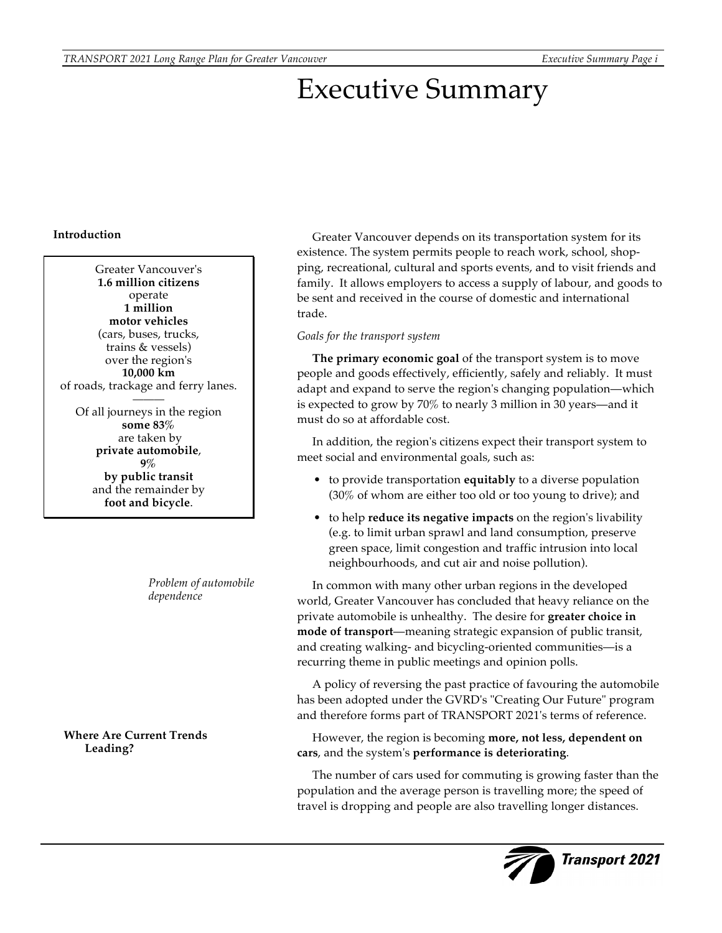# Executive Summary

# **Introduction**

Greater Vancouver's **1.6 million citizens** operate **1 million motor vehicles** (cars, buses, trucks, trains & vessels) over the region's **10,000 km** of roads, trackage and ferry lanes. ——— Of all journeys in the region

**some 83%** are taken by **private automobile**, **9% by public transit** and the remainder by **foot and bicycle**.

> *Problem of automobile dependence*

**Where Are Current Trends Leading?**

Greater Vancouver depends on its transportation system for its existence. The system permits people to reach work, school, shopping, recreational, cultural and sports events, and to visit friends and family. It allows employers to access a supply of labour, and goods to be sent and received in the course of domestic and international trade.

# *Goals for the transport system*

**The primary economic goal** of the transport system is to move people and goods effectively, efficiently, safely and reliably. It must adapt and expand to serve the region's changing population—which is expected to grow by 70% to nearly 3 million in 30 years—and it must do so at affordable cost.

In addition, the region's citizens expect their transport system to meet social and environmental goals, such as:

- to provide transportation **equitably** to a diverse population (30% of whom are either too old or too young to drive); and
- to help **reduce its negative impacts** on the region's livability (e.g. to limit urban sprawl and land consumption, preserve green space, limit congestion and traffic intrusion into local neighbourhoods, and cut air and noise pollution).

In common with many other urban regions in the developed world, Greater Vancouver has concluded that heavy reliance on the private automobile is unhealthy. The desire for **greater choice in mode of transport**—meaning strategic expansion of public transit, and creating walking- and bicycling-oriented communities—is a recurring theme in public meetings and opinion polls.

A policy of reversing the past practice of favouring the automobile has been adopted under the GVRD's "Creating Our Future" program and therefore forms part of TRANSPORT 2021's terms of reference.

However, the region is becoming **more, not less, dependent on cars**, and the system's **performance is deteriorating**.

The number of cars used for commuting is growing faster than the population and the average person is travelling more; the speed of travel is dropping and people are also travelling longer distances.

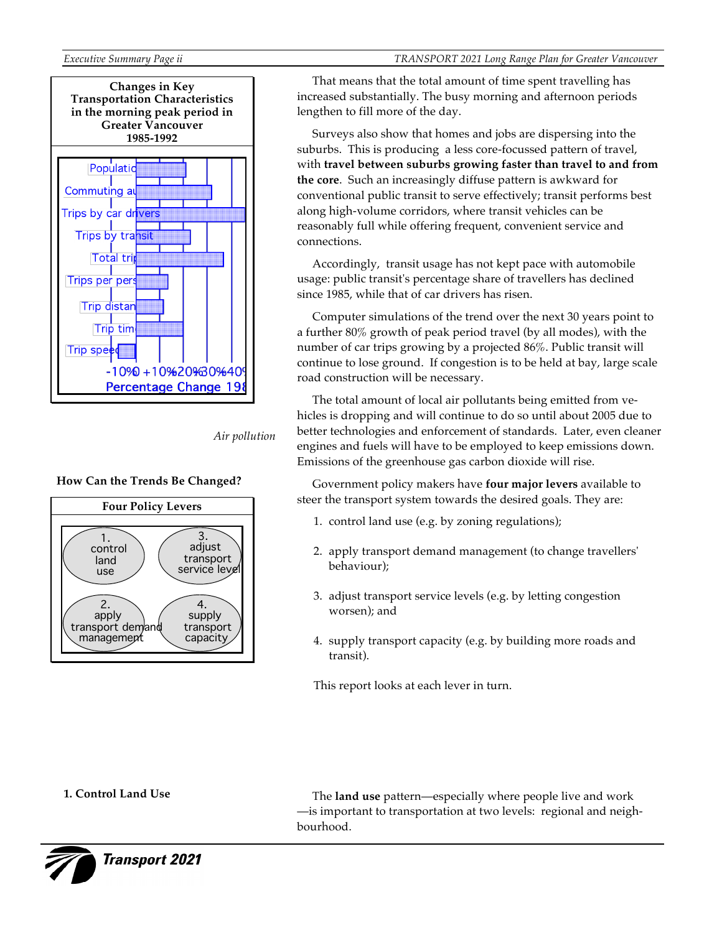

*Air pollution*





That means that the total amount of time spent travelling has increased substantially. The busy morning and afternoon periods lengthen to fill more of the day.

Surveys also show that homes and jobs are dispersing into the suburbs. This is producing a less core-focussed pattern of travel, with **travel between suburbs growing faster than travel to and from the core**. Such an increasingly diffuse pattern is awkward for conventional public transit to serve effectively; transit performs best along high-volume corridors, where transit vehicles can be reasonably full while offering frequent, convenient service and connections.

Accordingly, transit usage has not kept pace with automobile usage: public transit's percentage share of travellers has declined since 1985, while that of car drivers has risen.

Computer simulations of the trend over the next 30 years point to a further 80% growth of peak period travel (by all modes), with the number of car trips growing by a projected 86%. Public transit will continue to lose ground. If congestion is to be held at bay, large scale road construction will be necessary.

The total amount of local air pollutants being emitted from vehicles is dropping and will continue to do so until about 2005 due to better technologies and enforcement of standards. Later, even cleaner engines and fuels will have to be employed to keep emissions down. Emissions of the greenhouse gas carbon dioxide will rise.

Government policy makers have **four major levers** available to steer the transport system towards the desired goals. They are:

- 1. control land use (e.g. by zoning regulations);
- 2. apply transport demand management (to change travellers' behaviour);
- 3. adjust transport service levels (e.g. by letting congestion worsen); and
- 4. supply transport capacity (e.g. by building more roads and transit).

This report looks at each lever in turn.

# **1. Control Land Use**

The **land use** pattern—especially where people live and work —is important to transportation at two levels: regional and neighbourhood.



**Transport 2021**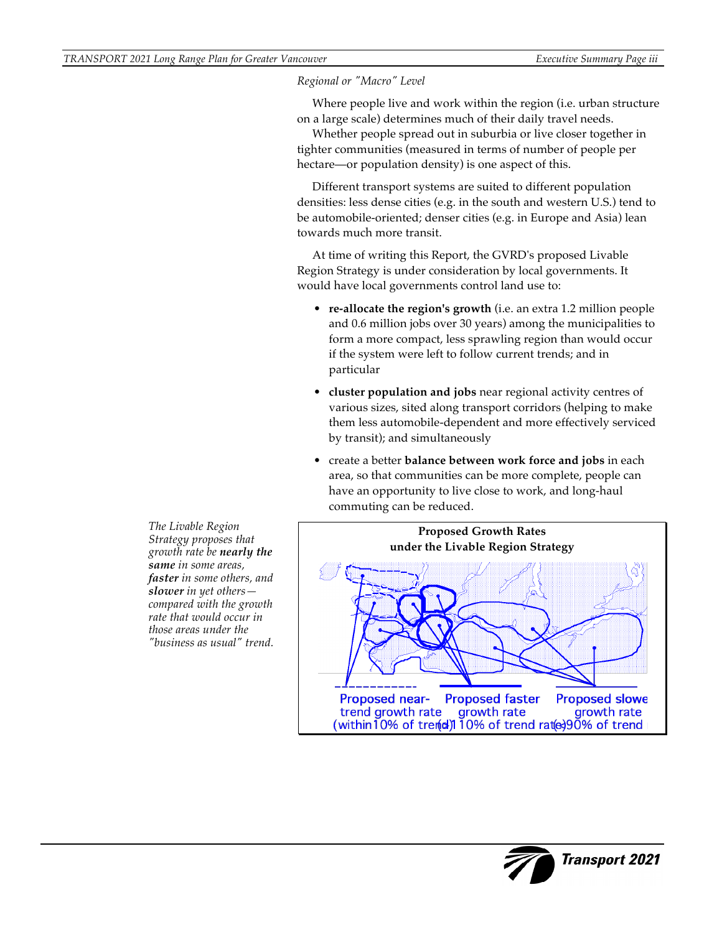*Regional or "Macro" Level* 

Where people live and work within the region (i.e. urban structure on a large scale) determines much of their daily travel needs.

Whether people spread out in suburbia or live closer together in tighter communities (measured in terms of number of people per hectare—or population density) is one aspect of this.

Different transport systems are suited to different population densities: less dense cities (e.g. in the south and western U.S.) tend to be automobile-oriented; denser cities (e.g. in Europe and Asia) lean towards much more transit.

At time of writing this Report, the GVRD's proposed Livable Region Strategy is under consideration by local governments. It would have local governments control land use to:

- **re-allocate the region's growth** (i.e. an extra 1.2 million people and 0.6 million jobs over 30 years) among the municipalities to form a more compact, less sprawling region than would occur if the system were left to follow current trends; and in particular
- **cluster population and jobs** near regional activity centres of various sizes, sited along transport corridors (helping to make them less automobile-dependent and more effectively serviced by transit); and simultaneously
- create a better **balance between work force and jobs** in each area, so that communities can be more complete, people can have an opportunity to live close to work, and long-haul commuting can be reduced.



*The Livable Region Strategy proposes that growth rate be nearly the same in some areas, faster in some others, and slower in yet others compared with the growth rate that would occur in those areas under the "business as usual" trend.*

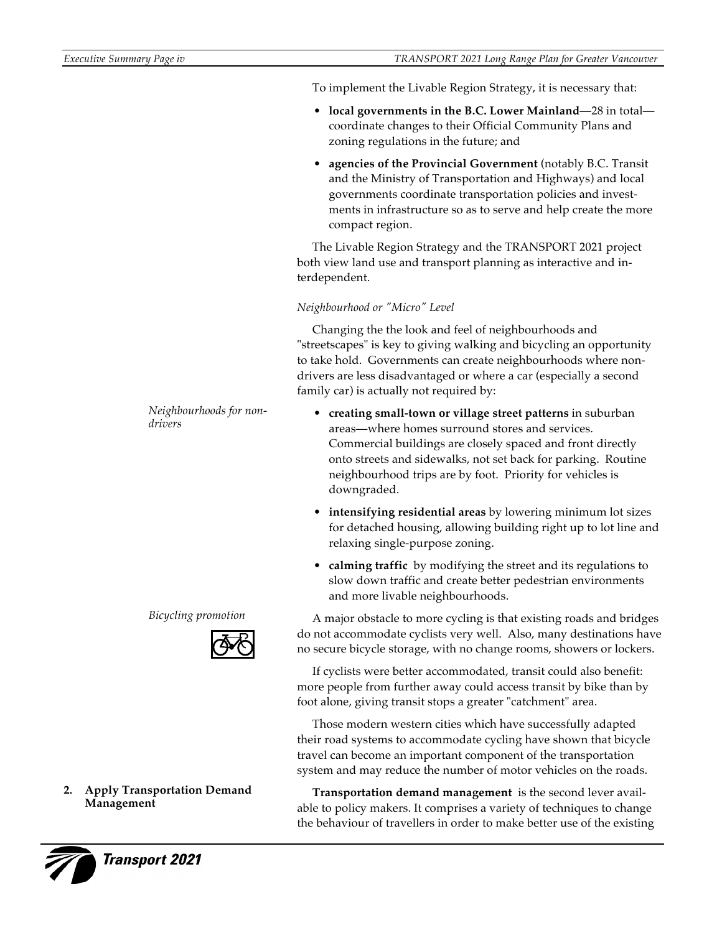To implement the Livable Region Strategy, it is necessary that:

- **local governments in the B.C. Lower Mainland**—28 in total coordinate changes to their Official Community Plans and zoning regulations in the future; and
- **agencies of the Provincial Government** (notably B.C. Transit and the Ministry of Transportation and Highways) and local governments coordinate transportation policies and investments in infrastructure so as to serve and help create the more compact region.

The Livable Region Strategy and the TRANSPORT 2021 project both view land use and transport planning as interactive and interdependent.

# *Neighbourhood or "Micro" Level*

Changing the the look and feel of neighbourhoods and "streetscapes" is key to giving walking and bicycling an opportunity to take hold. Governments can create neighbourhoods where nondrivers are less disadvantaged or where a car (especially a second family car) is actually not required by:

- **creating small-town or village street patterns** in suburban areas—where homes surround stores and services. Commercial buildings are closely spaced and front directly onto streets and sidewalks, not set back for parking. Routine neighbourhood trips are by foot. Priority for vehicles is downgraded.
- **intensifying residential areas** by lowering minimum lot sizes for detached housing, allowing building right up to lot line and relaxing single-purpose zoning.
- **calming traffic** by modifying the street and its regulations to slow down traffic and create better pedestrian environments and more livable neighbourhoods.

A major obstacle to more cycling is that existing roads and bridges do not accommodate cyclists very well. Also, many destinations have no secure bicycle storage, with no change rooms, showers or lockers.

If cyclists were better accommodated, transit could also benefit: more people from further away could access transit by bike than by foot alone, giving transit stops a greater "catchment" area.

Those modern western cities which have successfully adapted their road systems to accommodate cycling have shown that bicycle travel can become an important component of the transportation system and may reduce the number of motor vehicles on the roads.

**Transportation demand management** is the second lever available to policy makers. It comprises a variety of techniques to change the behaviour of travellers in order to make better use of the existing

*Neighbourhoods for nondrivers*

*Bicycling promotion*



### **2. Apply Transportation Demand Management**



**Transport 2021**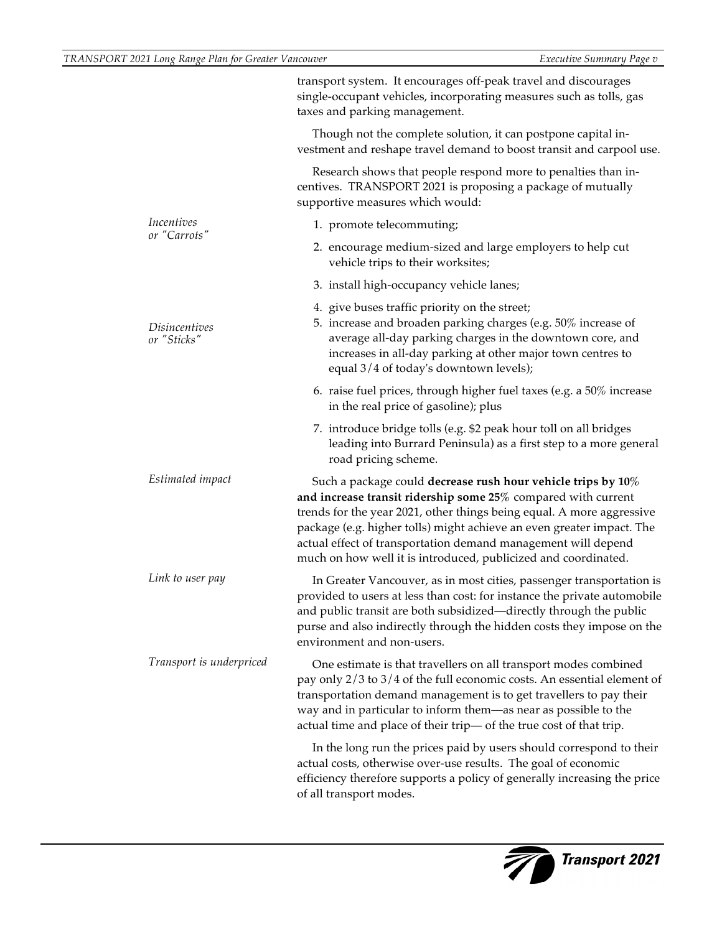|                              | transport system. It encourages off-peak travel and discourages<br>single-occupant vehicles, incorporating measures such as tolls, gas<br>taxes and parking management.                                                                                                                                                                                                                                               |  |
|------------------------------|-----------------------------------------------------------------------------------------------------------------------------------------------------------------------------------------------------------------------------------------------------------------------------------------------------------------------------------------------------------------------------------------------------------------------|--|
|                              | Though not the complete solution, it can postpone capital in-<br>vestment and reshape travel demand to boost transit and carpool use.                                                                                                                                                                                                                                                                                 |  |
|                              | Research shows that people respond more to penalties than in-<br>centives. TRANSPORT 2021 is proposing a package of mutually<br>supportive measures which would:                                                                                                                                                                                                                                                      |  |
| Incentives<br>or "Carrots"   | 1. promote telecommuting;                                                                                                                                                                                                                                                                                                                                                                                             |  |
|                              | 2. encourage medium-sized and large employers to help cut<br>vehicle trips to their worksites;                                                                                                                                                                                                                                                                                                                        |  |
|                              | 3. install high-occupancy vehicle lanes;                                                                                                                                                                                                                                                                                                                                                                              |  |
| Disincentives<br>or "Sticks" | 4. give buses traffic priority on the street;<br>5. increase and broaden parking charges (e.g. 50% increase of<br>average all-day parking charges in the downtown core, and<br>increases in all-day parking at other major town centres to<br>equal 3/4 of today's downtown levels);                                                                                                                                  |  |
|                              | 6. raise fuel prices, through higher fuel taxes (e.g. a $50\%$ increase<br>in the real price of gasoline); plus                                                                                                                                                                                                                                                                                                       |  |
|                              | 7. introduce bridge tolls (e.g. \$2 peak hour toll on all bridges<br>leading into Burrard Peninsula) as a first step to a more general<br>road pricing scheme.                                                                                                                                                                                                                                                        |  |
| Estimated impact             | Such a package could decrease rush hour vehicle trips by 10%<br>and increase transit ridership some $25\%$ compared with current<br>trends for the year 2021, other things being equal. A more aggressive<br>package (e.g. higher tolls) might achieve an even greater impact. The<br>actual effect of transportation demand management will depend<br>much on how well it is introduced, publicized and coordinated. |  |
| Link to user pay             | In Greater Vancouver, as in most cities, passenger transportation is<br>provided to users at less than cost: for instance the private automobile<br>and public transit are both subsidized-directly through the public<br>purse and also indirectly through the hidden costs they impose on the<br>environment and non-users.                                                                                         |  |
| Transport is underpriced     | One estimate is that travellers on all transport modes combined<br>pay only 2/3 to 3/4 of the full economic costs. An essential element of<br>transportation demand management is to get travellers to pay their<br>way and in particular to inform them—as near as possible to the<br>actual time and place of their trip- of the true cost of that trip.                                                            |  |
|                              | In the long run the prices paid by users should correspond to their<br>actual costs, otherwise over-use results. The goal of economic<br>efficiency therefore supports a policy of generally increasing the price<br>of all transport modes.                                                                                                                                                                          |  |
|                              |                                                                                                                                                                                                                                                                                                                                                                                                                       |  |

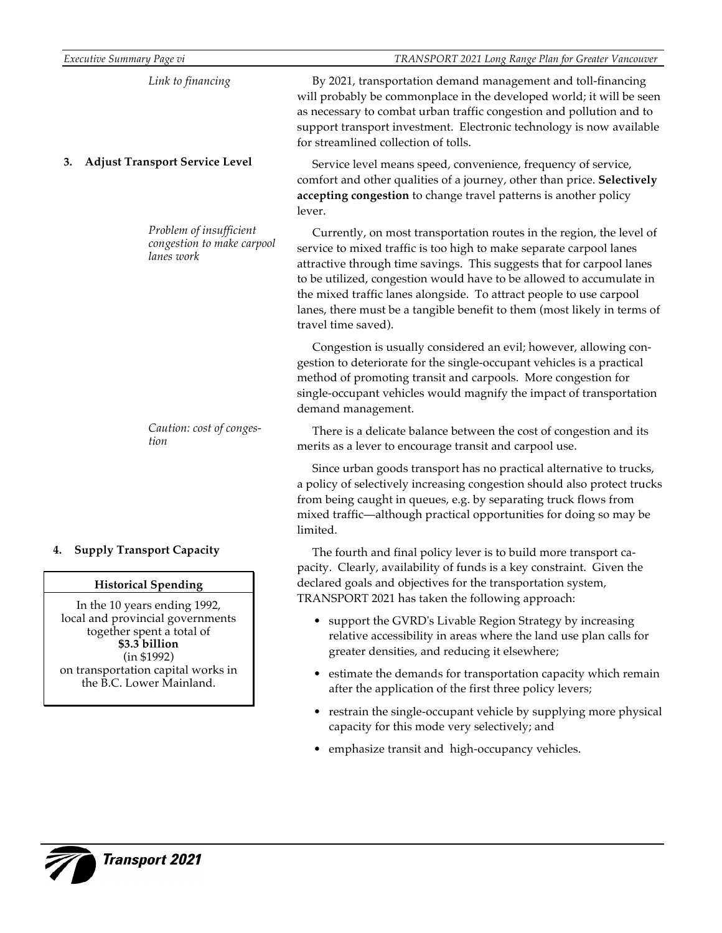| Link to financing<br>for streamlined collection of tolls.<br><b>Adjust Transport Service Level</b><br>3.<br>lever.<br>Problem of insufficient<br>congestion to make carpool<br>lanes work<br>travel time saved).<br>demand management.<br>Caution: cost of conges-<br>tion<br>merits as a lever to encourage transit and carpool use.<br>limited.<br><b>Supply Transport Capacity</b><br><b>Historical Spending</b><br>In the 10 years ending 1992,<br>together spent a total of<br>\$3.3 billion<br>(in \$1992)<br>the B.C. Lower Mainland. | TRANSPORT 2021 Long Range Plan for Greater Vancouver                                                                                                                                                                                                                                                                                                                                                                                            |
|----------------------------------------------------------------------------------------------------------------------------------------------------------------------------------------------------------------------------------------------------------------------------------------------------------------------------------------------------------------------------------------------------------------------------------------------------------------------------------------------------------------------------------------------|-------------------------------------------------------------------------------------------------------------------------------------------------------------------------------------------------------------------------------------------------------------------------------------------------------------------------------------------------------------------------------------------------------------------------------------------------|
| local and provincial governments<br>on transportation capital works in                                                                                                                                                                                                                                                                                                                                                                                                                                                                       | By 2021, transportation demand management and toll-financing<br>will probably be commonplace in the developed world; it will be seen<br>as necessary to combat urban traffic congestion and pollution and to<br>support transport investment. Electronic technology is now available                                                                                                                                                            |
|                                                                                                                                                                                                                                                                                                                                                                                                                                                                                                                                              | Service level means speed, convenience, frequency of service,<br>comfort and other qualities of a journey, other than price. Selectively<br>accepting congestion to change travel patterns is another policy                                                                                                                                                                                                                                    |
|                                                                                                                                                                                                                                                                                                                                                                                                                                                                                                                                              | Currently, on most transportation routes in the region, the level of<br>service to mixed traffic is too high to make separate carpool lanes<br>attractive through time savings. This suggests that for carpool lanes<br>to be utilized, congestion would have to be allowed to accumulate in<br>the mixed traffic lanes alongside. To attract people to use carpool<br>lanes, there must be a tangible benefit to them (most likely in terms of |
|                                                                                                                                                                                                                                                                                                                                                                                                                                                                                                                                              | Congestion is usually considered an evil; however, allowing con-<br>gestion to deteriorate for the single-occupant vehicles is a practical<br>method of promoting transit and carpools. More congestion for<br>single-occupant vehicles would magnify the impact of transportation                                                                                                                                                              |
|                                                                                                                                                                                                                                                                                                                                                                                                                                                                                                                                              | There is a delicate balance between the cost of congestion and its                                                                                                                                                                                                                                                                                                                                                                              |
| 4.                                                                                                                                                                                                                                                                                                                                                                                                                                                                                                                                           | Since urban goods transport has no practical alternative to trucks,<br>a policy of selectively increasing congestion should also protect trucks<br>from being caught in queues, e.g. by separating truck flows from<br>mixed traffic-although practical opportunities for doing so may be                                                                                                                                                       |
|                                                                                                                                                                                                                                                                                                                                                                                                                                                                                                                                              | The fourth and final policy lever is to build more transport ca-<br>pacity. Clearly, availability of funds is a key constraint. Given the<br>declared goals and objectives for the transportation system,<br>TRANSPORT 2021 has taken the following approach:                                                                                                                                                                                   |
|                                                                                                                                                                                                                                                                                                                                                                                                                                                                                                                                              | • support the GVRD's Livable Region Strategy by increasing<br>relative accessibility in areas where the land use plan calls for<br>greater densities, and reducing it elsewhere;                                                                                                                                                                                                                                                                |
|                                                                                                                                                                                                                                                                                                                                                                                                                                                                                                                                              | • estimate the demands for transportation capacity which remain<br>after the application of the first three policy levers;                                                                                                                                                                                                                                                                                                                      |
|                                                                                                                                                                                                                                                                                                                                                                                                                                                                                                                                              | restrain the single-occupant vehicle by supplying more physical<br>capacity for this mode very selectively; and                                                                                                                                                                                                                                                                                                                                 |
|                                                                                                                                                                                                                                                                                                                                                                                                                                                                                                                                              | emphasize transit and high-occupancy vehicles.                                                                                                                                                                                                                                                                                                                                                                                                  |

 $\overline{\zeta}$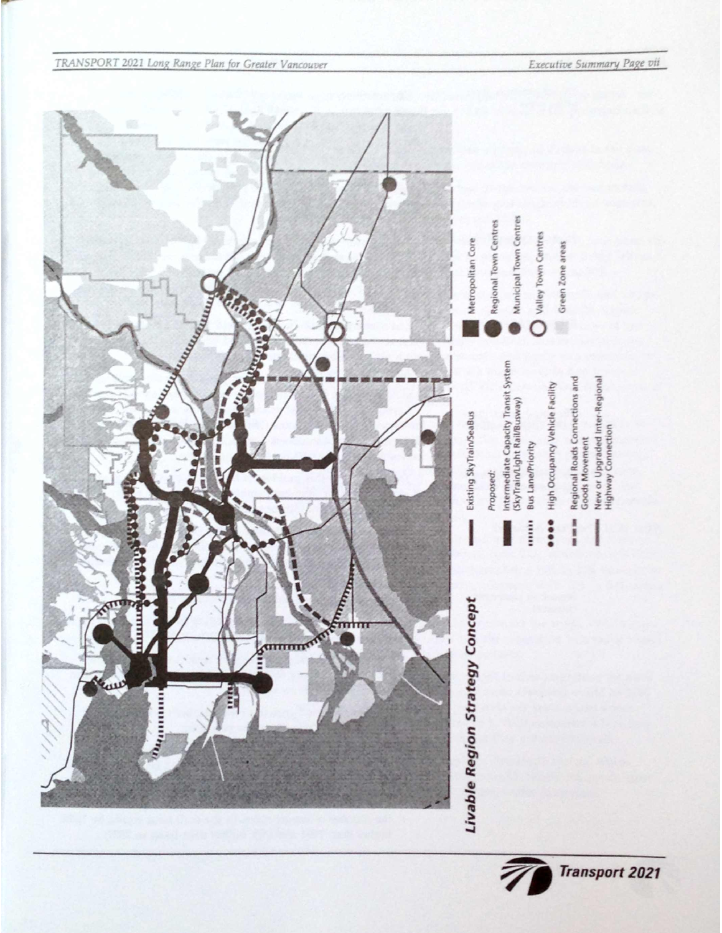

Executive Summary Page vii

**Transport 2021**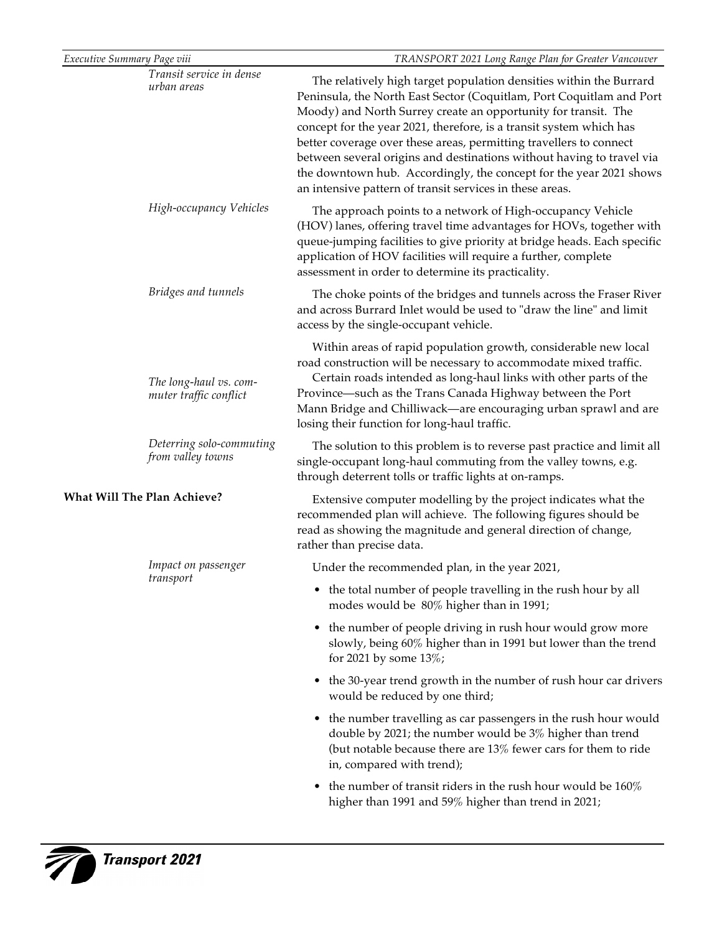| Executive Summary Page viii                      | TRANSPORT 2021 Long Range Plan for Greater Vancouver                                                                                                                                                                                                                                                                                                                                                                                                                                                                                                                 |
|--------------------------------------------------|----------------------------------------------------------------------------------------------------------------------------------------------------------------------------------------------------------------------------------------------------------------------------------------------------------------------------------------------------------------------------------------------------------------------------------------------------------------------------------------------------------------------------------------------------------------------|
| Transit service in dense<br>urban areas          | The relatively high target population densities within the Burrard<br>Peninsula, the North East Sector (Coquitlam, Port Coquitlam and Port<br>Moody) and North Surrey create an opportunity for transit. The<br>concept for the year 2021, therefore, is a transit system which has<br>better coverage over these areas, permitting travellers to connect<br>between several origins and destinations without having to travel via<br>the downtown hub. Accordingly, the concept for the year 2021 shows<br>an intensive pattern of transit services in these areas. |
| High-occupancy Vehicles                          | The approach points to a network of High-occupancy Vehicle<br>(HOV) lanes, offering travel time advantages for HOVs, together with<br>queue-jumping facilities to give priority at bridge heads. Each specific<br>application of HOV facilities will require a further, complete<br>assessment in order to determine its practicality.                                                                                                                                                                                                                               |
| Bridges and tunnels                              | The choke points of the bridges and tunnels across the Fraser River<br>and across Burrard Inlet would be used to "draw the line" and limit<br>access by the single-occupant vehicle.                                                                                                                                                                                                                                                                                                                                                                                 |
| The long-haul vs. com-<br>muter traffic conflict | Within areas of rapid population growth, considerable new local<br>road construction will be necessary to accommodate mixed traffic.<br>Certain roads intended as long-haul links with other parts of the<br>Province—such as the Trans Canada Highway between the Port<br>Mann Bridge and Chilliwack—are encouraging urban sprawl and are<br>losing their function for long-haul traffic.                                                                                                                                                                           |
| Deterring solo-commuting<br>from valley towns    | The solution to this problem is to reverse past practice and limit all<br>single-occupant long-haul commuting from the valley towns, e.g.<br>through deterrent tolls or traffic lights at on-ramps.                                                                                                                                                                                                                                                                                                                                                                  |
| What Will The Plan Achieve?                      | Extensive computer modelling by the project indicates what the<br>recommended plan will achieve. The following figures should be<br>read as showing the magnitude and general direction of change,<br>rather than precise data.                                                                                                                                                                                                                                                                                                                                      |
| Impact on passenger                              | Under the recommended plan, in the year 2021,                                                                                                                                                                                                                                                                                                                                                                                                                                                                                                                        |
| transport                                        | the total number of people travelling in the rush hour by all<br>modes would be 80% higher than in 1991;                                                                                                                                                                                                                                                                                                                                                                                                                                                             |
|                                                  | the number of people driving in rush hour would grow more<br>$\bullet$<br>slowly, being 60% higher than in 1991 but lower than the trend<br>for 2021 by some 13%;                                                                                                                                                                                                                                                                                                                                                                                                    |
|                                                  | the 30-year trend growth in the number of rush hour car drivers<br>$\bullet$<br>would be reduced by one third;                                                                                                                                                                                                                                                                                                                                                                                                                                                       |
|                                                  | the number travelling as car passengers in the rush hour would<br>$\bullet$<br>double by 2021; the number would be 3% higher than trend<br>(but notable because there are $13\%$ fewer cars for them to ride<br>in, compared with trend);                                                                                                                                                                                                                                                                                                                            |
|                                                  | the number of transit riders in the rush hour would be 160%<br>٠<br>higher than 1991 and 59% higher than trend in 2021;                                                                                                                                                                                                                                                                                                                                                                                                                                              |

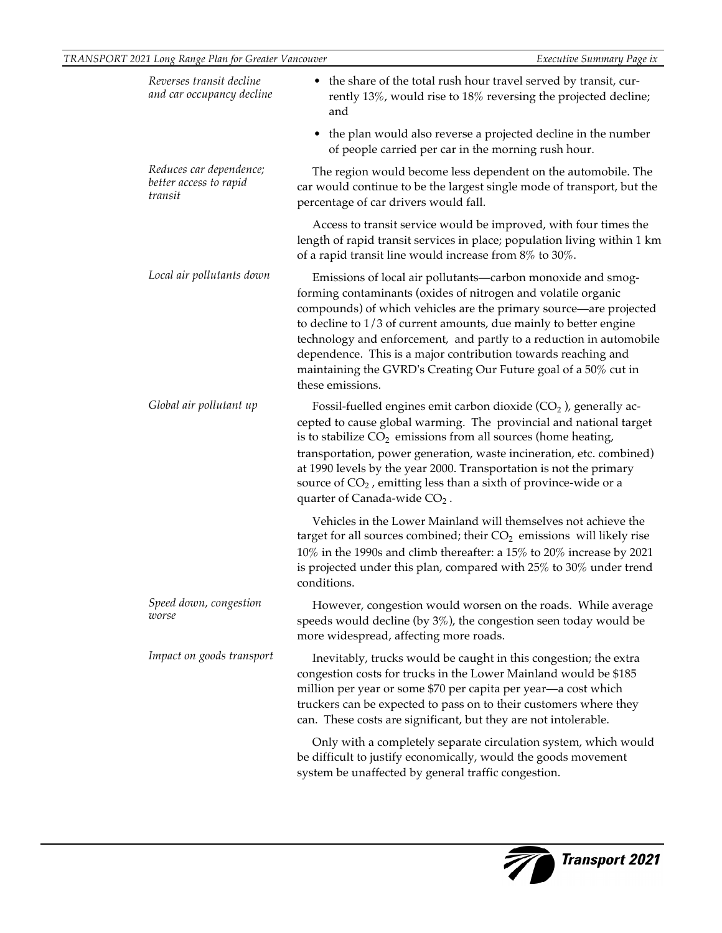| Reverses transit decline<br>and car occupancy decline        | • the share of the total rush hour travel served by transit, cur-<br>rently 13%, would rise to 18% reversing the projected decline;<br>and<br>• the plan would also reverse a projected decline in the number                                                                                                                                                                                                                                                                                           |  |
|--------------------------------------------------------------|---------------------------------------------------------------------------------------------------------------------------------------------------------------------------------------------------------------------------------------------------------------------------------------------------------------------------------------------------------------------------------------------------------------------------------------------------------------------------------------------------------|--|
|                                                              | of people carried per car in the morning rush hour.                                                                                                                                                                                                                                                                                                                                                                                                                                                     |  |
| Reduces car dependence;<br>better access to rapid<br>transit | The region would become less dependent on the automobile. The<br>car would continue to be the largest single mode of transport, but the<br>percentage of car drivers would fall.                                                                                                                                                                                                                                                                                                                        |  |
|                                                              | Access to transit service would be improved, with four times the<br>length of rapid transit services in place; population living within 1 km<br>of a rapid transit line would increase from $8\%$ to $30\%$ .                                                                                                                                                                                                                                                                                           |  |
| Local air pollutants down                                    | Emissions of local air pollutants—carbon monoxide and smog-<br>forming contaminants (oxides of nitrogen and volatile organic<br>compounds) of which vehicles are the primary source—are projected<br>to decline to $1/3$ of current amounts, due mainly to better engine<br>technology and enforcement, and partly to a reduction in automobile<br>dependence. This is a major contribution towards reaching and<br>maintaining the GVRD's Creating Our Future goal of a 50% cut in<br>these emissions. |  |
| Global air pollutant up                                      | Fossil-fuelled engines emit carbon dioxide $(CO2)$ , generally ac-<br>cepted to cause global warming. The provincial and national target<br>is to stabilize $CO2$ emissions from all sources (home heating,<br>transportation, power generation, waste incineration, etc. combined)<br>at 1990 levels by the year 2000. Transportation is not the primary<br>source of $CO2$ , emitting less than a sixth of province-wide or a<br>quarter of Canada-wide CO <sub>2</sub> .                             |  |
|                                                              | Vehicles in the Lower Mainland will themselves not achieve the<br>target for all sources combined; their $CO2$ emissions will likely rise<br>$10\%$ in the 1990s and climb thereafter: a 15% to 20% increase by 2021<br>is projected under this plan, compared with 25% to 30% under trend<br>conditions.                                                                                                                                                                                               |  |
| Speed down, congestion<br>worse                              | However, congestion would worsen on the roads. While average<br>speeds would decline (by $3\%$ ), the congestion seen today would be<br>more widespread, affecting more roads.                                                                                                                                                                                                                                                                                                                          |  |
| Impact on goods transport                                    | Inevitably, trucks would be caught in this congestion; the extra<br>congestion costs for trucks in the Lower Mainland would be \$185<br>million per year or some \$70 per capita per year-a cost which<br>truckers can be expected to pass on to their customers where they<br>can. These costs are significant, but they are not intolerable.                                                                                                                                                          |  |
|                                                              | Only with a completely separate circulation system, which would<br>be difficult to justify economically, would the goods movement<br>system be unaffected by general traffic congestion.                                                                                                                                                                                                                                                                                                                |  |

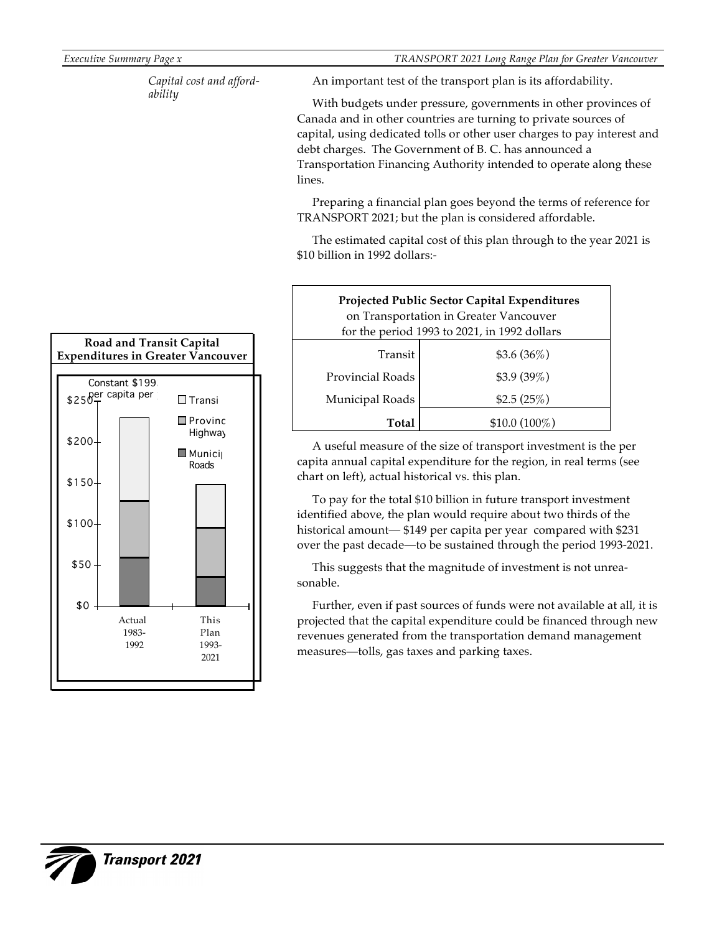*Executive Summary Page x TRANSPORT 2021 Long Range Plan for Greater Vancouver*

*Capital cost and affordability*

An important test of the transport plan is its affordability.

With budgets under pressure, governments in other provinces of Canada and in other countries are turning to private sources of capital, using dedicated tolls or other user charges to pay interest and debt charges. The Government of B. C. has announced a Transportation Financing Authority intended to operate along these lines.

Preparing a financial plan goes beyond the terms of reference for TRANSPORT 2021; but the plan is considered affordable.

The estimated capital cost of this plan through to the year 2021 is \$10 billion in 1992 dollars:-

| Projected Public Sector Capital Expenditures<br>on Transportation in Greater Vancouver<br>for the period 1993 to 2021, in 1992 dollars |                 |  |  |  |
|----------------------------------------------------------------------------------------------------------------------------------------|-----------------|--|--|--|
| Transit                                                                                                                                | $$3.6(36\%)$    |  |  |  |
| <b>Provincial Roads</b>                                                                                                                | \$3.9(39%)      |  |  |  |
| Municipal Roads                                                                                                                        | \$2.5(25%)      |  |  |  |
| Total                                                                                                                                  | $$10.0~(100\%)$ |  |  |  |

A useful measure of the size of transport investment is the per capita annual capital expenditure for the region, in real terms (see chart on left), actual historical vs. this plan.

To pay for the total \$10 billion in future transport investment identified above, the plan would require about two thirds of the historical amount— \$149 per capita per year compared with \$231 over the past decade—to be sustained through the period 1993-2021.

This suggests that the magnitude of investment is not unreasonable.

Further, even if past sources of funds were not available at all, it is projected that the capital expenditure could be financed through new revenues generated from the transportation demand management measures—tolls, gas taxes and parking taxes.

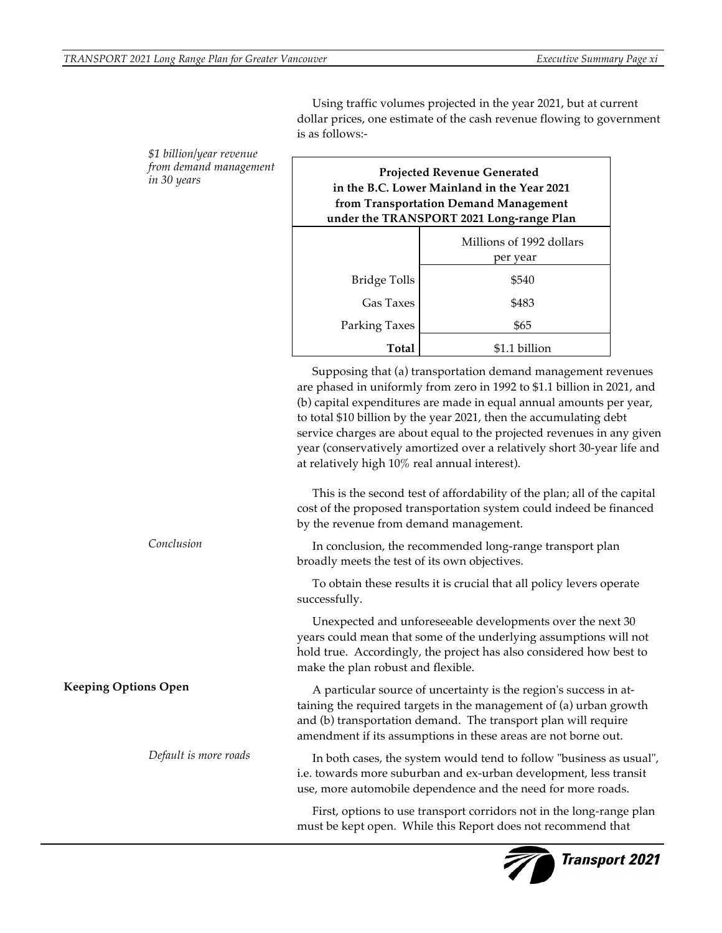**Transport 2021** 

is as follows:- **Projected Revenue Generated in the B.C. Lower Mainland in the Year 2021 from Transportation Demand Management under the TRANSPORT 2021 Long-range Plan** Millions of 1992 dollars per year Bridge Tolls | \$540 Gas Taxes | \$483 Parking Taxes | \$65 **Total** \$1.1 billion Supposing that (a) transportation demand management revenues are phased in uniformly from zero in 1992 to \$1.1 billion in 2021, and (b) capital expenditures are made in equal annual amounts per year, to total \$10 billion by the year 2021, then the accumulating debt service charges are about equal to the projected revenues in any given year (conservatively amortized over a relatively short 30-year life and at relatively high 10% real annual interest). This is the second test of affordability of the plan; all of the capital cost of the proposed transportation system could indeed be financed by the revenue from demand management. In conclusion, the recommended long-range transport plan broadly meets the test of its own objectives. To obtain these results it is crucial that all policy levers operate successfully. Unexpected and unforeseeable developments over the next 30 years could mean that some of the underlying assumptions will not hold true. Accordingly, the project has also considered how best to make the plan robust and flexible. A particular source of uncertainty is the region's success in attaining the required targets in the management of (a) urban growth and (b) transportation demand. The transport plan will require amendment if its assumptions in these areas are not borne out. In both cases, the system would tend to follow "business as usual", i.e. towards more suburban and ex-urban development, less transit use, more automobile dependence and the need for more roads. First, options to use transport corridors not in the long-range plan must be kept open. While this Report does not recommend that *\$1 billion/year revenue from demand management in 30 years Conclusion* **Keeping Options Open** *Default is more roads*

Using traffic volumes projected in the year 2021, but at current dollar prices, one estimate of the cash revenue flowing to government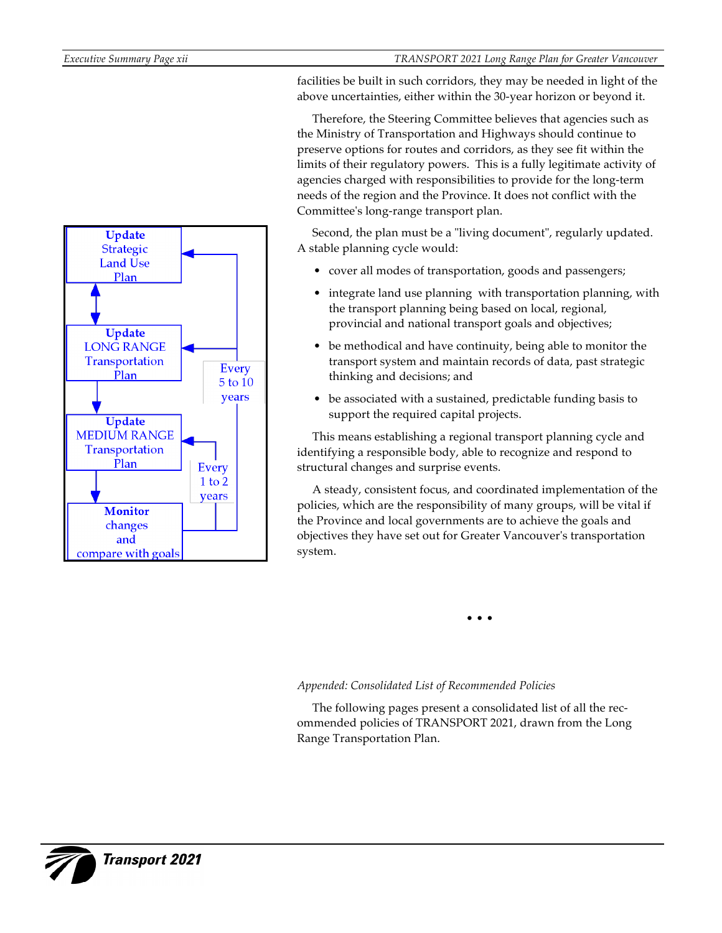

facilities be built in such corridors, they may be needed in light of the above uncertainties, either within the 30-year horizon or beyond it.

Therefore, the Steering Committee believes that agencies such as the Ministry of Transportation and Highways should continue to preserve options for routes and corridors, as they see fit within the limits of their regulatory powers. This is a fully legitimate activity of agencies charged with responsibilities to provide for the long-term needs of the region and the Province. It does not conflict with the Committee's long-range transport plan.

Second, the plan must be a "living document", regularly updated. A stable planning cycle would:

- cover all modes of transportation, goods and passengers;
- integrate land use planning with transportation planning, with the transport planning being based on local, regional, provincial and national transport goals and objectives;
- be methodical and have continuity, being able to monitor the transport system and maintain records of data, past strategic thinking and decisions; and
- be associated with a sustained, predictable funding basis to support the required capital projects.

This means establishing a regional transport planning cycle and identifying a responsible body, able to recognize and respond to structural changes and surprise events.

A steady, consistent focus, and coordinated implementation of the policies, which are the responsibility of many groups, will be vital if the Province and local governments are to achieve the goals and objectives they have set out for Greater Vancouver's transportation system.

• • •

# *Appended: Consolidated List of Recommended Policies*

The following pages present a consolidated list of all the recommended policies of TRANSPORT 2021, drawn from the Long Range Transportation Plan.

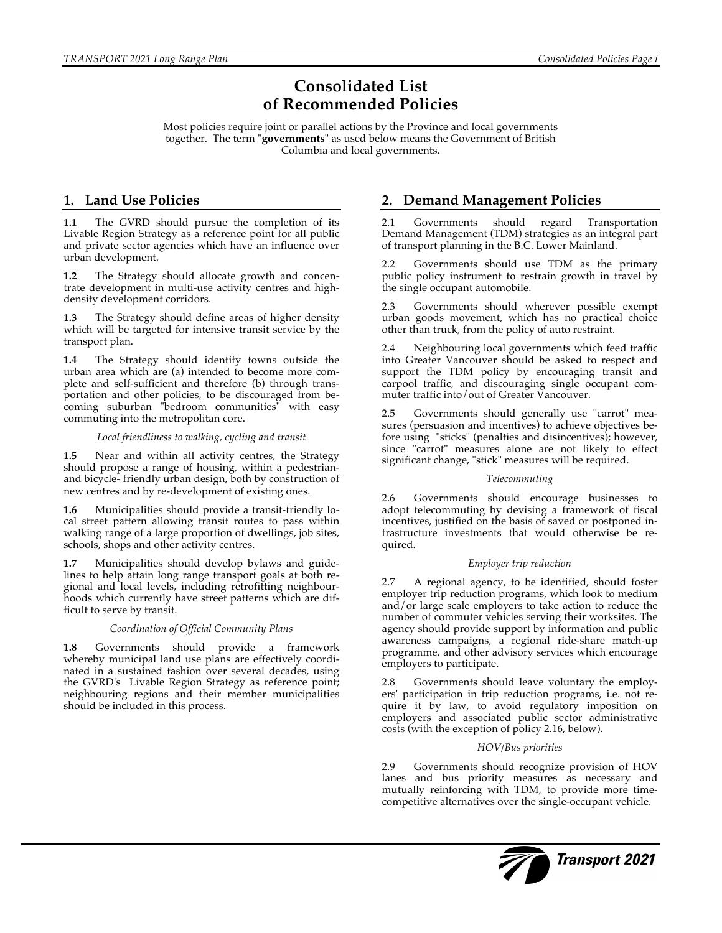# **Consolidated List of Recommended Policies**

Most policies require joint or parallel actions by the Province and local governments together. The term "**governments**" as used below means the Government of British Columbia and local governments.

# **1. Land Use Policies**

**1.1** The GVRD should pursue the completion of its Livable Region Strategy as a reference point for all public and private sector agencies which have an influence over urban development.

**1.2** The Strategy should allocate growth and concentrate development in multi-use activity centres and highdensity development corridors.

**1.3** The Strategy should define areas of higher density which will be targeted for intensive transit service by the transport plan.

**1.4** The Strategy should identify towns outside the urban area which are (a) intended to become more complete and self-sufficient and therefore (b) through transportation and other policies, to be discouraged from becoming suburban "bedroom communities" with easy commuting into the metropolitan core.

#### *Local friendliness to walking, cycling and transit*

**1.5** Near and within all activity centres, the Strategy should propose a range of housing, within a pedestrianand bicycle- friendly urban design, both by construction of new centres and by re-development of existing ones.

**1.6** Municipalities should provide a transit-friendly local street pattern allowing transit routes to pass within walking range of a large proportion of dwellings, job sites, schools, shops and other activity centres.

**1.7** Municipalities should develop bylaws and guidelines to help attain long range transport goals at both regional and local levels, including retrofitting neighbourhoods which currently have street patterns which are difficult to serve by transit.

#### *Coordination of Official Community Plans*

**1.8** Governments should provide a framework whereby municipal land use plans are effectively coordinated in a sustained fashion over several decades, using the GVRD's Livable Region Strategy as reference point; neighbouring regions and their member municipalities should be included in this process.

# **2. Demand Management Policies**

2.1 Governments should regard Transportation Demand Management (TDM) strategies as an integral part of transport planning in the B.C. Lower Mainland.

Governments should use TDM as the primary public policy instrument to restrain growth in travel by the single occupant automobile.

2.3 Governments should wherever possible exempt urban goods movement, which has no practical choice other than truck, from the policy of auto restraint.

2.4 Neighbouring local governments which feed traffic into Greater Vancouver should be asked to respect and support the TDM policy by encouraging transit and carpool traffic, and discouraging single occupant commuter traffic into/out of Greater Vancouver.

2.5 Governments should generally use "carrot" measures (persuasion and incentives) to achieve objectives before using "sticks" (penalties and disincentives); however, since "carrot" measures alone are not likely to effect significant change, "stick" measures will be required.

#### *Telecommuting*

2.6 Governments should encourage businesses to adopt telecommuting by devising a framework of fiscal incentives, justified on the basis of saved or postponed infrastructure investments that would otherwise be required.

### *Employer trip reduction*

2.7 A regional agency, to be identified, should foster employer trip reduction programs, which look to medium and/or large scale employers to take action to reduce the number of commuter vehicles serving their worksites. The agency should provide support by information and public awareness campaigns, a regional ride-share match-up programme, and other advisory services which encourage employers to participate.

2.8 Governments should leave voluntary the employers' participation in trip reduction programs, i.e. not require it by law, to avoid regulatory imposition on employers and associated public sector administrative costs (with the exception of policy 2.16, below).

#### *HOV/Bus priorities*

2.9 Governments should recognize provision of HOV lanes and bus priority measures as necessary and mutually reinforcing with TDM, to provide more timecompetitive alternatives over the single-occupant vehicle.

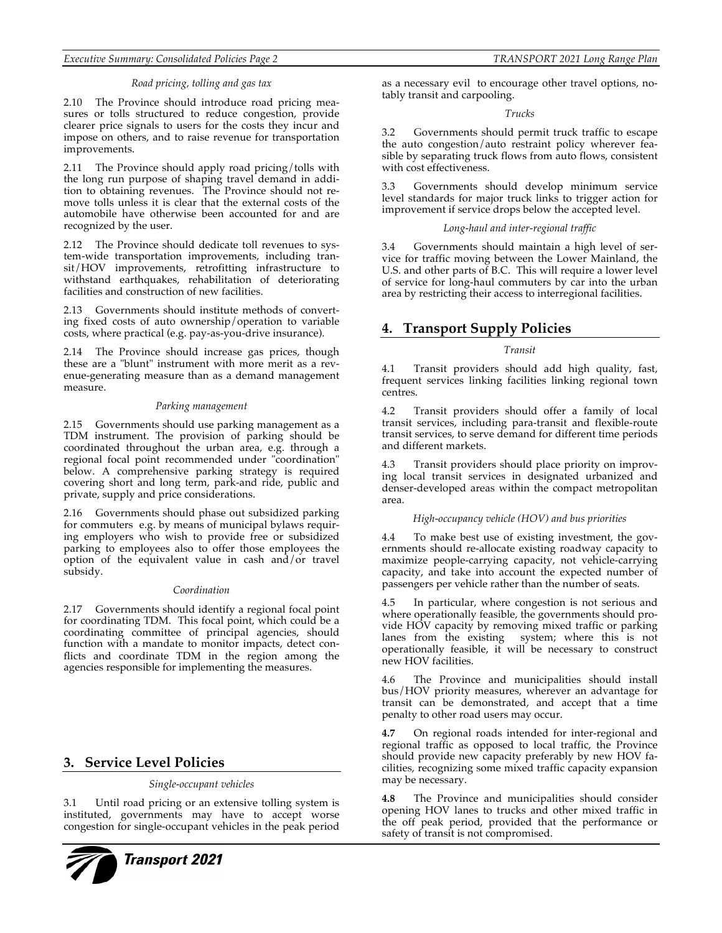#### *Executive Summary: Consolidated Policies Page 2 TRANSPORT 2021 Long Range Plan*

#### *Road pricing, tolling and gas tax*

2.10 The Province should introduce road pricing measures or tolls structured to reduce congestion, provide clearer price signals to users for the costs they incur and impose on others, and to raise revenue for transportation improvements.

2.11 The Province should apply road pricing/tolls with the long run purpose of shaping travel demand in addition to obtaining revenues. The Province should not remove tolls unless it is clear that the external costs of the automobile have otherwise been accounted for and are recognized by the user.

2.12 The Province should dedicate toll revenues to system-wide transportation improvements, including transit/HOV improvements, retrofitting infrastructure to withstand earthquakes, rehabilitation of deteriorating facilities and construction of new facilities.

2.13 Governments should institute methods of converting fixed costs of auto ownership/operation to variable costs, where practical (e.g. pay-as-you-drive insurance).

2.14 The Province should increase gas prices, though these are a "blunt" instrument with more merit as a revenue-generating measure than as a demand management measure.

#### *Parking management*

2.15 Governments should use parking management as a TDM instrument. The provision of parking should be coordinated throughout the urban area, e.g. through a regional focal point recommended under "coordination" below. A comprehensive parking strategy is required covering short and long term, park-and ride, public and private, supply and price considerations.

2.16 Governments should phase out subsidized parking for commuters e.g. by means of municipal bylaws requiring employers who wish to provide free or subsidized parking to employees also to offer those employees the option of the equivalent value in cash and/or travel subsidy.

#### *Coordination*

2.17 Governments should identify a regional focal point for coordinating TDM. This focal point, which could be a coordinating committee of principal agencies, should function with a mandate to monitor impacts, detect conflicts and coordinate TDM in the region among the agencies responsible for implementing the measures.

# **3. Service Level Policies**

#### *Single-occupant vehicles*

3.1 Until road pricing or an extensive tolling system is instituted, governments may have to accept worse congestion for single-occupant vehicles in the peak period



as a necessary evil to encourage other travel options, notably transit and carpooling.

#### *Trucks*

3.2 Governments should permit truck traffic to escape the auto congestion/auto restraint policy wherever feasible by separating truck flows from auto flows, consistent with cost effectiveness.

3.3 Governments should develop minimum service level standards for major truck links to trigger action for improvement if service drops below the accepted level.

#### *Long-haul and inter-regional traffic*

3.4 Governments should maintain a high level of service for traffic moving between the Lower Mainland, the U.S. and other parts of B.C. This will require a lower level of service for long-haul commuters by car into the urban area by restricting their access to interregional facilities.

# **4. Transport Supply Policies**

#### *Transit*

4.1 Transit providers should add high quality, fast, frequent services linking facilities linking regional town centres.

4.2 Transit providers should offer a family of local transit services, including para-transit and flexible-route transit services, to serve demand for different time periods and different markets.

4.3 Transit providers should place priority on improving local transit services in designated urbanized and denser-developed areas within the compact metropolitan area.

#### *High-occupancy vehicle (HOV) and bus priorities*

4.4 To make best use of existing investment, the governments should re-allocate existing roadway capacity to maximize people-carrying capacity, not vehicle-carrying capacity, and take into account the expected number of passengers per vehicle rather than the number of seats.

In particular, where congestion is not serious and where operationally feasible, the governments should provide HOV capacity by removing mixed traffic or parking lanes from the existing system; where this is not operationally feasible, it will be necessary to construct new HOV facilities.

4.6 The Province and municipalities should install bus/HOV priority measures, wherever an advantage for transit can be demonstrated, and accept that a time penalty to other road users may occur.

**4.7** On regional roads intended for inter-regional and regional traffic as opposed to local traffic, the Province should provide new capacity preferably by new HOV facilities, recognizing some mixed traffic capacity expansion may be necessary.

**4.8** The Province and municipalities should consider opening HOV lanes to trucks and other mixed traffic in the off peak period, provided that the performance or safety of transit is not compromised.